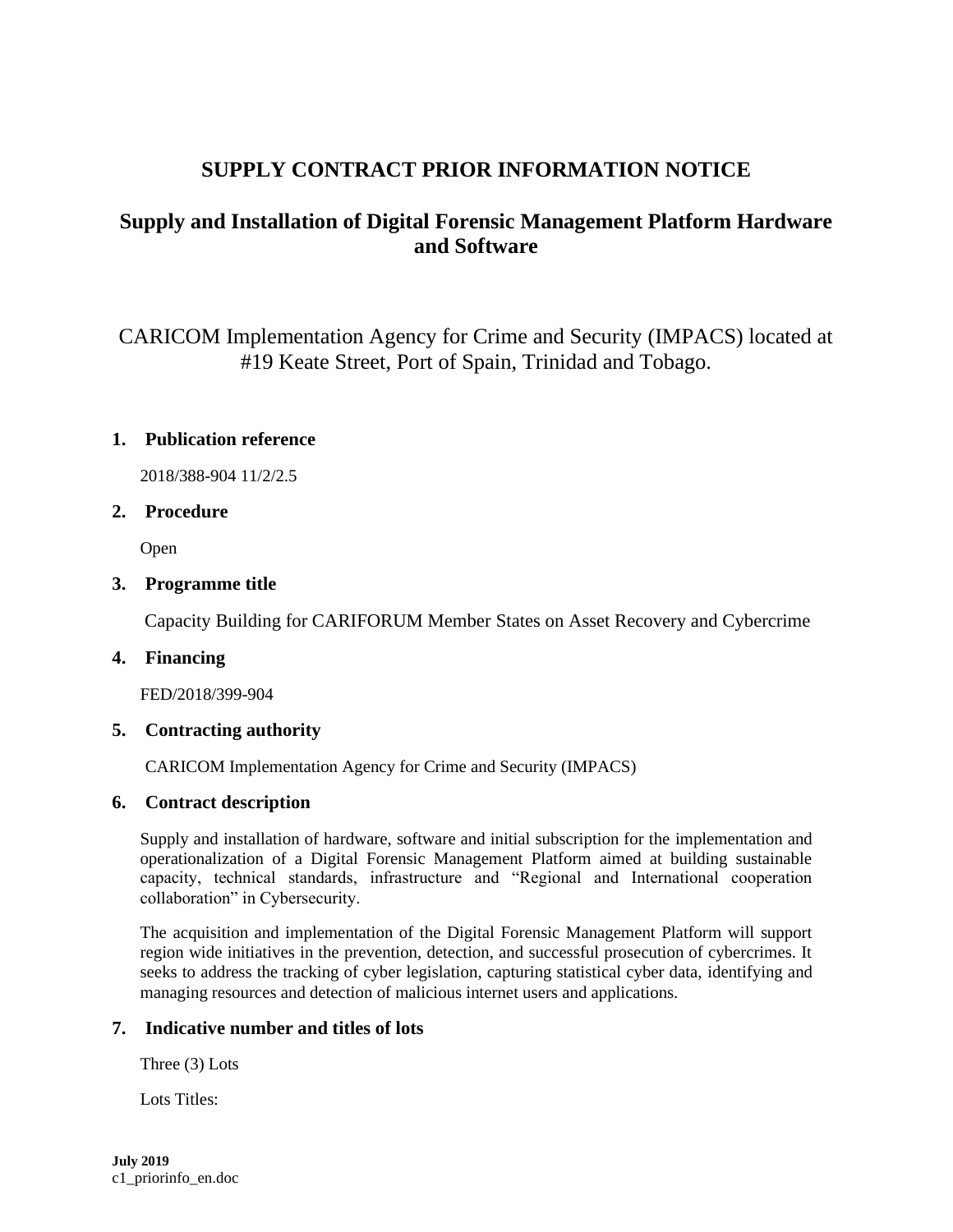# **SUPPLY CONTRACT PRIOR INFORMATION NOTICE**

# **Supply and Installation of Digital Forensic Management Platform Hardware and Software**

CARICOM Implementation Agency for Crime and Security (IMPACS) located at #19 Keate Street, Port of Spain, Trinidad and Tobago.

# **1. Publication reference**

2018/388-904 11/2/2.5

## **2. Procedure**

Open

## **3. Programme title**

Capacity Building for CARIFORUM Member States on Asset Recovery and Cybercrime

#### **4. Financing**

FED/2018/399-904

# **5. Contracting authority**

CARICOM Implementation Agency for Crime and Security (IMPACS)

# **6. Contract description**

Supply and installation of hardware, software and initial subscription for the implementation and operationalization of a Digital Forensic Management Platform aimed at building sustainable capacity, technical standards, infrastructure and "Regional and International cooperation collaboration" in Cybersecurity.

The acquisition and implementation of the Digital Forensic Management Platform will support region wide initiatives in the prevention, detection, and successful prosecution of cybercrimes. It seeks to address the tracking of cyber legislation, capturing statistical cyber data, identifying and managing resources and detection of malicious internet users and applications.

## **7. Indicative number and titles of lots**

Three (3) Lots

Lots Titles: